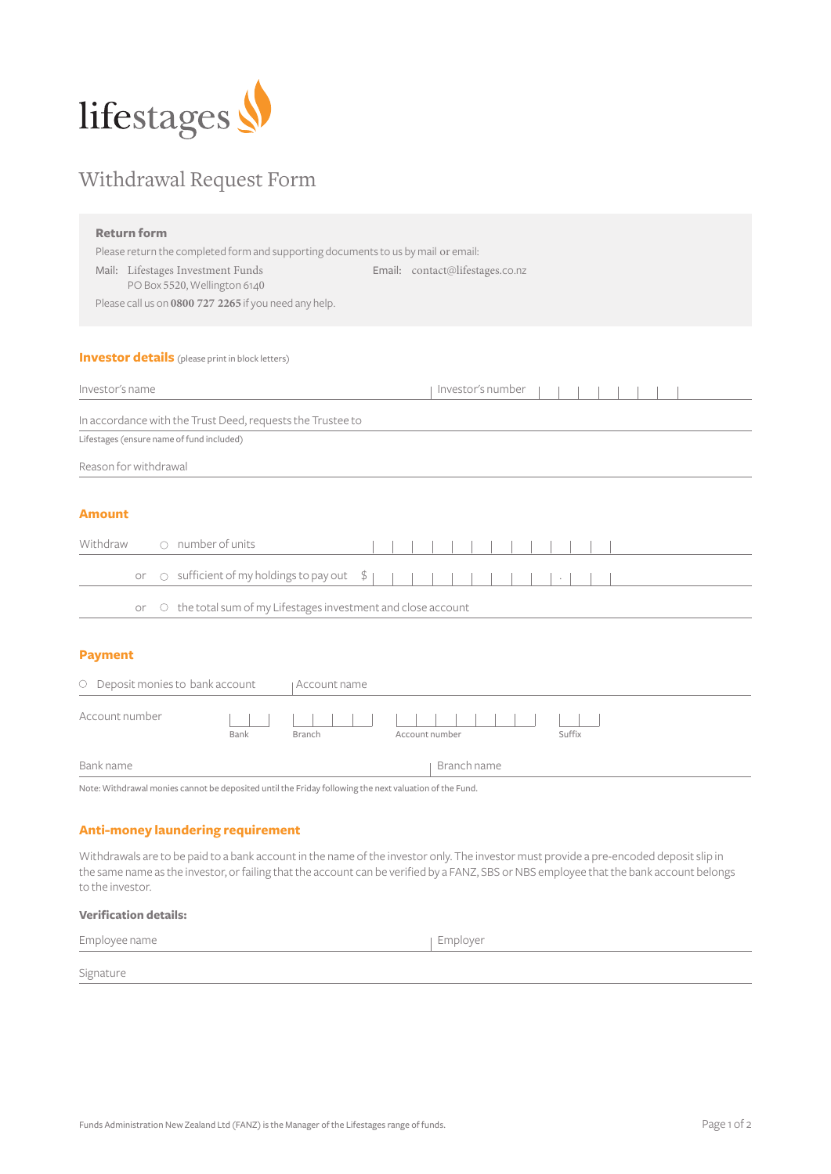

## Withdrawal Request Form

| <b>Return form</b>                                                                                     |                                 |  |
|--------------------------------------------------------------------------------------------------------|---------------------------------|--|
| Please return the completed form and supporting documents to us by mail or email:                      |                                 |  |
| Mail: Lifestages Investment Funds<br>PO Box 5520, Wellington 6140                                      | Email: contact@lifestages.co.nz |  |
| Please call us on 0800 727 2265 if you need any help.                                                  |                                 |  |
|                                                                                                        |                                 |  |
| <b>Investor details</b> (please print in block letters)                                                |                                 |  |
| Investor's name                                                                                        | Investor's number               |  |
| In accordance with the Trust Deed, requests the Trustee to                                             |                                 |  |
| Lifestages (ensure name of fund included)                                                              |                                 |  |
| Reason for withdrawal                                                                                  |                                 |  |
|                                                                                                        |                                 |  |
| <b>Amount</b>                                                                                          |                                 |  |
| $\cap$ number of units<br>Withdraw                                                                     |                                 |  |
| ○ sufficient of my holdings to pay out<br>\$<br>or                                                     |                                 |  |
| O the total sum of my Lifestages investment and close account<br>or                                    |                                 |  |
|                                                                                                        |                                 |  |
| <b>Payment</b>                                                                                         |                                 |  |
| O Deposit monies to bank account<br>Account name                                                       |                                 |  |
| Account number<br>Bank<br><b>Branch</b>                                                                | Suffix<br>Account number        |  |
| Bank name                                                                                              | Branch name                     |  |
| Note: Withdrawal monies cannot be deposited until the Friday following the next valuation of the Fund. |                                 |  |

## **Anti-money laundering requirement**

Withdrawals are to be paid to a bank account in the name of the investor only. The investor must provide a pre-encoded deposit slip in the same name as the investor, or failing that the account can be verified by a FANZ, SBS or NBS employee that the bank account belongs to the investor.

| <b>Verification details:</b> |            |  |
|------------------------------|------------|--|
| Employee name                | ∣ Employer |  |
| Signature                    |            |  |